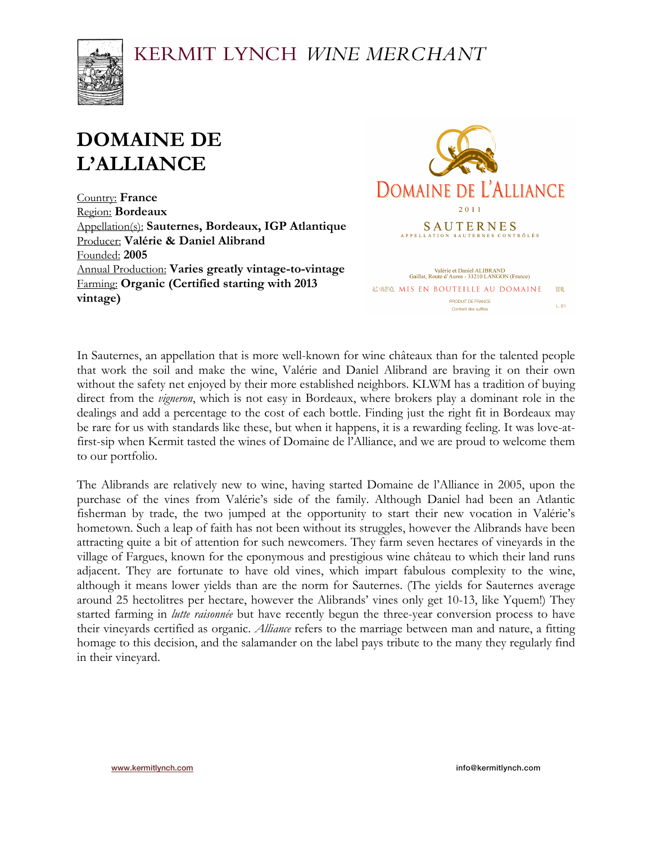# KERMIT LYNCH WINE MERCHANT



# **DOMAINE DE L'ALLIANCE**

Country: **France** Region: **Bordeaux** Appellation(s): **Sauternes, Bordeaux, IGP Atlantique** Producer: **Valérie & Daniel Alibrand** Founded: **2005** Annual Production: **Varies greatly vintage-to-vintage** Farming: **Organic (Certified starting with 2013 vintage)**



In Sauternes, an appellation that is more well-known for wine châteaux than for the talented people that work the soil and make the wine, Valérie and Daniel Alibrand are braving it on their own without the safety net enjoyed by their more established neighbors. KLWM has a tradition of buying direct from the *vigneron*, which is not easy in Bordeaux, where brokers play a dominant role in the dealings and add a percentage to the cost of each bottle. Finding just the right fit in Bordeaux may be rare for us with standards like these, but when it happens, it is a rewarding feeling. It was love-atfirst-sip when Kermit tasted the wines of Domaine de l'Alliance, and we are proud to welcome them to our portfolio.

The Alibrands are relatively new to wine, having started Domaine de l'Alliance in 2005, upon the purchase of the vines from Valérie's side of the family. Although Daniel had been an Atlantic fisherman by trade, the two jumped at the opportunity to start their new vocation in Valérie's hometown. Such a leap of faith has not been without its struggles, however the Alibrands have been attracting quite a bit of attention for such newcomers. They farm seven hectares of vineyards in the village of Fargues, known for the eponymous and prestigious wine château to which their land runs adjacent. They are fortunate to have old vines, which impart fabulous complexity to the wine, although it means lower yields than are the norm for Sauternes. (The yields for Sauternes average around 25 hectolitres per hectare, however the Alibrands' vines only get 10-13, like Yquem!) They started farming in *lutte raisonnée* but have recently begun the three-year conversion process to have their vineyards certified as organic. *Alliance* refers to the marriage between man and nature, a fitting homage to this decision, and the salamander on the label pays tribute to the many they regularly find in their vineyard.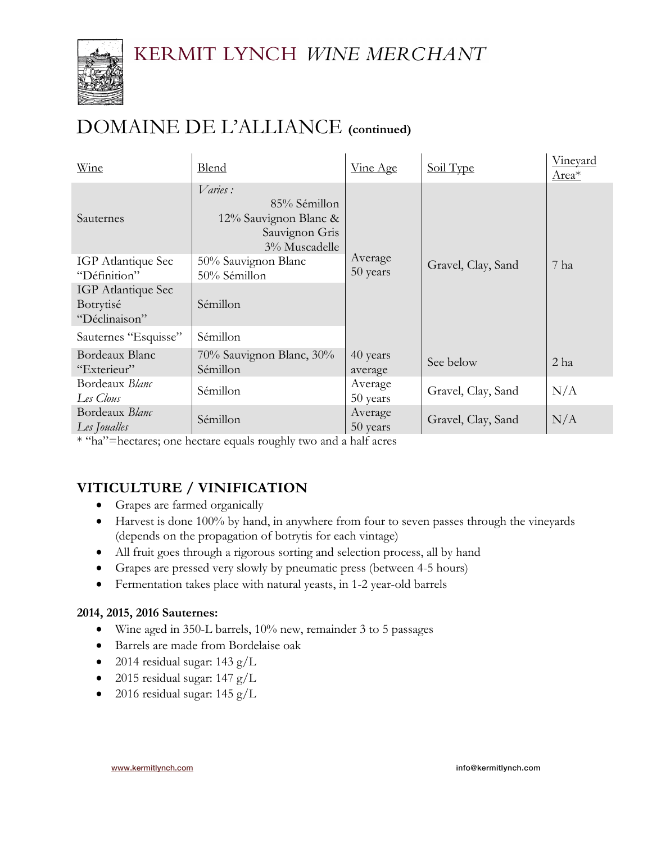# KERMIT LYNCH WINE MERCHANT



# DOMAINE DE L'ALLIANCE **(continued)**

| Wine                                             | <b>Blend</b>                                                                        | Vine Age            | Soil Type          | Vineyard<br>Area* |
|--------------------------------------------------|-------------------------------------------------------------------------------------|---------------------|--------------------|-------------------|
| Sauternes                                        | Varies:<br>85% Sémillon<br>12% Sauvignon Blanc &<br>Sauvignon Gris<br>3% Muscadelle |                     |                    |                   |
| <b>IGP</b> Atlantique Sec<br>"Définition"        | 50% Sauvignon Blanc<br>50% Sémillon                                                 | Average<br>50 years | Gravel, Clay, Sand | 7 ha              |
| IGP Atlantique Sec<br>Botrytisé<br>"Déclinaison" | Sémillon                                                                            |                     |                    |                   |
| Sauternes "Esquisse"                             | Sémillon                                                                            |                     |                    |                   |
| Bordeaux Blanc<br>"Exterieur"                    | 70% Sauvignon Blanc, 30%<br>Sémillon                                                | 40 years<br>average | See below          | 2 ha              |
| Bordeaux Blanc<br>Les Clous                      | Sémillon                                                                            | Average<br>50 years | Gravel, Clay, Sand | N/A               |
| Bordeaux Blanc<br>Les Joualles                   | Sémillon                                                                            | Average<br>50 years | Gravel, Clay, Sand | N/A               |

\* "ha"=hectares; one hectare equals roughly two and a half acres

# **VITICULTURE / VINIFICATION**

- Grapes are farmed organically
- Harvest is done 100% by hand, in anywhere from four to seven passes through the vineyards (depends on the propagation of botrytis for each vintage)
- All fruit goes through a rigorous sorting and selection process, all by hand
- Grapes are pressed very slowly by pneumatic press (between 4-5 hours)
- Fermentation takes place with natural yeasts, in 1-2 year-old barrels

### **2014, 2015, 2016 Sauternes:**

- Wine aged in 350-L barrels, 10% new, remainder 3 to 5 passages
- Barrels are made from Bordelaise oak
- 2014 residual sugar:  $143 \text{ g/L}$
- 2015 residual sugar:  $147 \text{ g/L}$
- 2016 residual sugar:  $145 \text{ g/L}$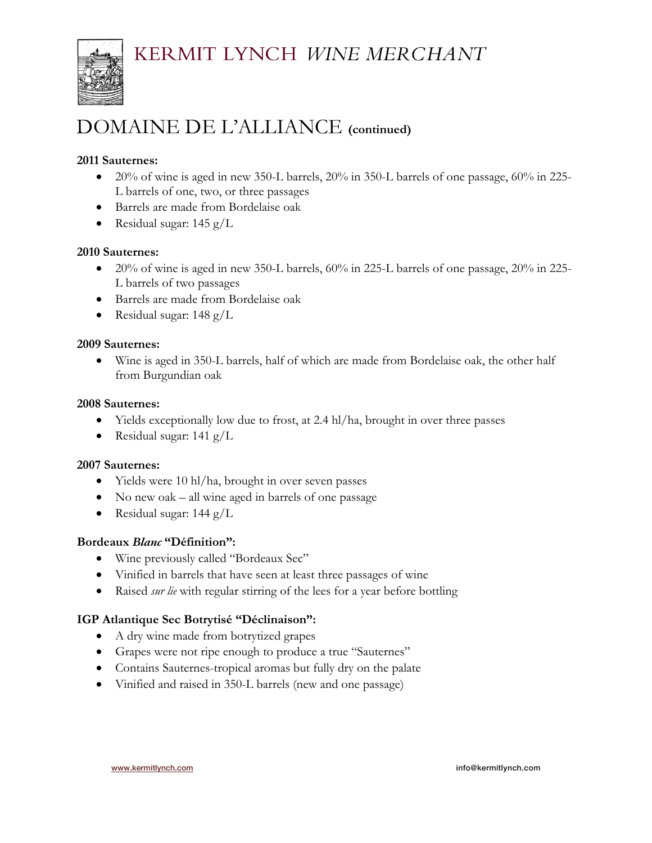

# DOMAINE DE L'ALLIANCE **(continued)**

## **2011 Sauternes:**

- 20% of wine is aged in new 350-L barrels, 20% in 350-L barrels of one passage,  $60\%$  in 225-L barrels of one, two, or three passages
- Barrels are made from Bordelaise oak
- Residual sugar:  $145 \text{ g/L}$

#### **2010 Sauternes:**

- 20% of wine is aged in new 350-L barrels, 60% in 225-L barrels of one passage, 20% in 225- L barrels of two passages
- Barrels are made from Bordelaise oak
- Residual sugar: 148 g/L

#### **2009 Sauternes:**

• Wine is aged in 350-L barrels, half of which are made from Bordelaise oak, the other half from Burgundian oak

#### **2008 Sauternes:**

- Yields exceptionally low due to frost, at 2.4 hl/ha, brought in over three passes
- Residual sugar:  $141 \text{ g/L}$

#### **2007 Sauternes:**

- Yields were 10 hl/ha, brought in over seven passes
- No new oak all wine aged in barrels of one passage
- Residual sugar:  $144 \text{ g/L}$

### **Bordeaux** *Blanc* **"Définition":**

- Wine previously called "Bordeaux Sec"
- Vinified in barrels that have seen at least three passages of wine
- Raised *sur lie* with regular stirring of the lees for a year before bottling

### **IGP Atlantique Sec Botrytisé "Déclinaison":**

- A dry wine made from botrytized grapes
- Grapes were not ripe enough to produce a true "Sauternes"
- Contains Sauternes-tropical aromas but fully dry on the palate
- Vinified and raised in 350-L barrels (new and one passage)